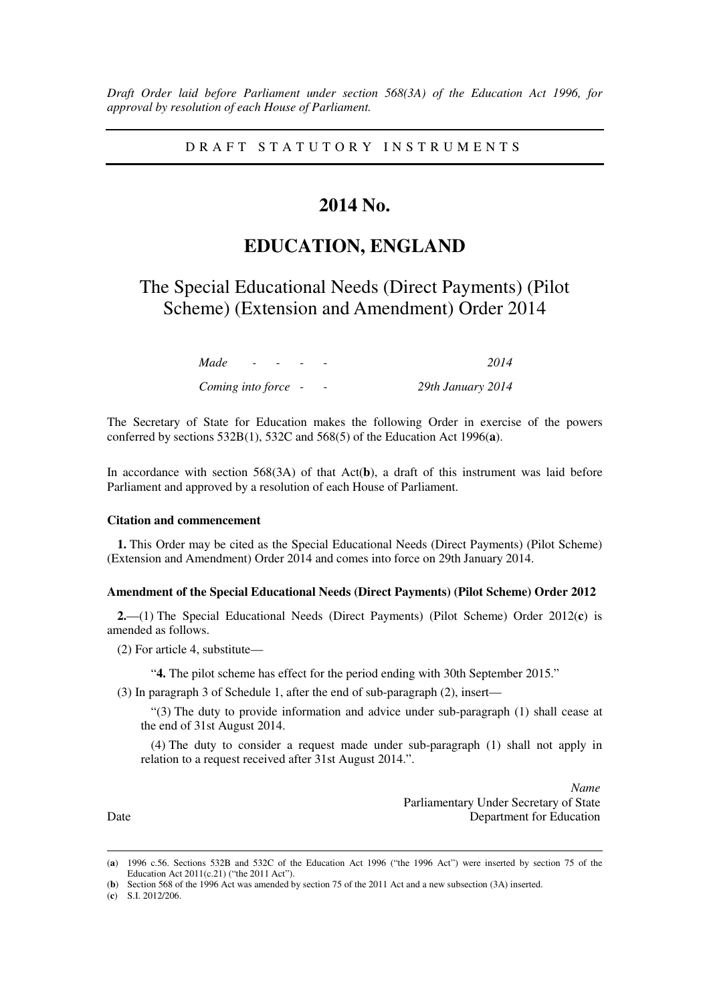*Draft Order laid before Parliament under section 568(3A) of the Education Act 1996, for approval by resolution of each House of Parliament.*

D R A F T S T A T U T O R Y I N S T R U M E N T S

## **2014 No.**

# **EDUCATION, ENGLAND**

The Special Educational Needs (Direct Payments) (Pilot Scheme) (Extension and Amendment) Order 2014

| Made                |  |  | 2014              |
|---------------------|--|--|-------------------|
| Coming into force - |  |  | 29th January 2014 |

The Secretary of State for Education makes the following Order in exercise of the powers conferred by sections 532B(1), 532C and 568(5) of the Education Act 1996(**a**).

In accordance with section 568(3A) of that Act(**b**), a draft of this instrument was laid before Parliament and approved by a resolution of each House of Parliament.

## **Citation and commencement**

**1.** This Order may be cited as the Special Educational Needs (Direct Payments) (Pilot Scheme) (Extension and Amendment) Order 2014 and comes into force on 29th January 2014.

### **Amendment of the Special Educational Needs (Direct Payments) (Pilot Scheme) Order 2012**

**2.**—(1) The Special Educational Needs (Direct Payments) (Pilot Scheme) Order 2012(**c**) is amended as follows.

(2) For article 4, substitute—

"**4.** The pilot scheme has effect for the period ending with 30th September 2015."

(3) In paragraph 3 of Schedule 1, after the end of sub-paragraph (2), insert—

"(3) The duty to provide information and advice under sub-paragraph (1) shall cease at the end of 31st August 2014.

(4) The duty to consider a request made under sub-paragraph (1) shall not apply in relation to a request received after 31st August 2014.".

*Name* Parliamentary Under Secretary of State Date Department for Education

<u>.</u>

<sup>(</sup>**a**) 1996 c.56. Sections 532B and 532C of the Education Act 1996 ("the 1996 Act") were inserted by section 75 of the Education Act 2011(c.21) ("the 2011 Act").

<sup>(</sup>**b**) Section 568 of the 1996 Act was amended by section 75 of the 2011 Act and a new subsection (3A) inserted.

<sup>(</sup>**c**) S.I. 2012/206.